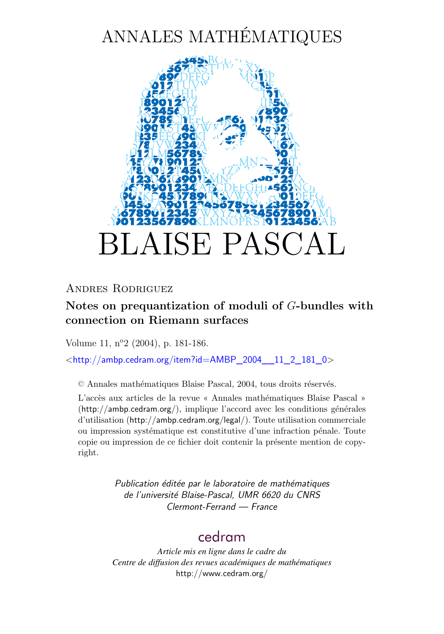# ANNALES MATHÉMATIQUES



### Andres Rodriguez

### **Notes on prequantization of moduli of** G**-bundles with connection on Riemann surfaces**

Volume 11, n°2 (2004), p. 181[-186.](#page-6-0)

<[http://ambp.cedram.org/item?id=AMBP\\_2004\\_\\_11\\_2\\_181\\_0](http://ambp.cedram.org/item?id=AMBP_2004__11_2_181_0)>

© Annales mathématiques Blaise Pascal, 2004, tous droits réservés.

L'accès aux articles de la revue « Annales mathématiques Blaise Pascal » (<http://ambp.cedram.org/>), implique l'accord avec les conditions générales d'utilisation (<http://ambp.cedram.org/legal/>). Toute utilisation commerciale ou impression systématique est constitutive d'une infraction pénale. Toute copie ou impression de ce fichier doit contenir la présente mention de copyright.

> *Publication éditée par le laboratoire de mathématiques de l'université Blaise-Pascal, UMR 6620 du CNRS Clermont-Ferrand — France*

### [cedram](http://www.cedram.org/)

*Article mis en ligne dans le cadre du Centre de diffusion des revues académiques de mathématiques* <http://www.cedram.org/>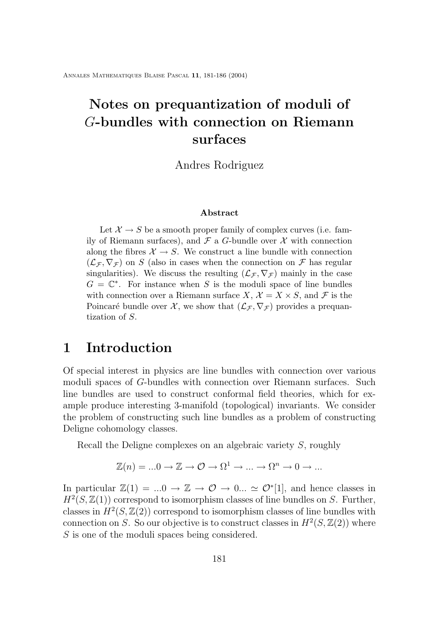## **Notes on prequantization of moduli of** G**-bundles with connection on Riemann surfaces**

Andres Rodriguez

#### **Abstract**

Let  $\mathcal{X} \to S$  be a smooth proper family of complex curves (i.e. family of Riemann surfaces), and  $\mathcal F$  a G-bundle over  $\mathcal X$  with connection along the fibres  $\mathcal{X} \to S$ . We construct a line bundle with connection  $(\mathcal{L}_{\mathcal{F}}, \nabla_{\mathcal{F}})$  on S (also in cases when the connection on F has regular singularities). We discuss the resulting  $(\mathcal{L}_{\mathcal{F}}, \nabla_{\mathcal{F}})$  mainly in the case  $G = \mathbb{C}^*$ . For instance when S is the moduli space of line bundles with connection over a Riemann surface X,  $\mathcal{X} = X \times S$ , and F is the Poincaré bundle over X, we show that  $(\mathcal{L}_{\mathcal{F}}, \nabla_{\mathcal{F}})$  provides a prequantization of S.

### **1 Introduction**

Of special interest in physics are line bundles with connection over various moduli spaces of G-bundles with connection over Riemann surfaces. Such line bundles are used to construct conformal field theories, which for example produce interesting 3-manifold (topological) invariants. We consider the problem of constructing such line bundles as a problem of constructing Deligne cohomology classes.

Recall the Deligne complexes on an algebraic variety S, roughly

$$
\mathbb{Z}(n) = \dots 0 \to \mathbb{Z} \to \mathcal{O} \to \Omega^1 \to \dots \to \Omega^n \to 0 \to \dots
$$

In particular  $\mathbb{Z}(1) = ...0 \to \mathbb{Z} \to \mathcal{O} \to 0... \simeq \mathcal{O}^*[1]$ , and hence classes in  $H^2(S, \mathbb{Z}(1))$  correspond to isomorphism classes of line bundles on S. Further, classes in  $H^2(S, \mathbb{Z}(2))$  correspond to isomorphism classes of line bundles with connection on S. So our objective is to construct classes in  $H^2(S, \mathbb{Z}(2))$  where S is one of the moduli spaces being considered.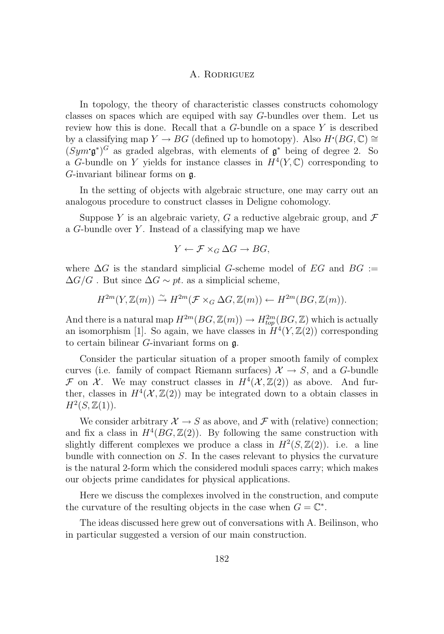#### A. RODRIGUEZ

In topology, the theory of characteristic classes constructs cohomology classes on spaces which are equiped with say G-bundles over them. Let us review how this is done. Recall that a G-bundle on a space Y is described by a classifying map  $Y \to BG$  (defined up to homotopy). Also  $H^{\bullet}(BG, \mathbb{C}) \cong$  $(Sym \, \mathfrak{g}^*)^G$  as graded algebras, with elements of  $\mathfrak{g}^*$  being of degree 2. So a G-bundle on Y yields for instance classes in  $H^4(Y, \mathbb{C})$  corresponding to G-invariant bilinear forms on g.

In the setting of objects with algebraic structure, one may carry out an analogous procedure to construct classes in Deligne cohomology.

Suppose Y is an algebraic variety, G a reductive algebraic group, and  $\mathcal F$ a  $G$ -bundle over  $Y$ . Instead of a classifying map we have

$$
Y \leftarrow \mathcal{F} \times_G \Delta G \to BG,
$$

where  $\Delta G$  is the standard simplicial G-scheme model of EG and BG :=  $\Delta G/G$ . But since  $\Delta G \sim pt$ . as a simplicial scheme,

$$
H^{2m}(Y,\mathbb{Z}(m)) \stackrel{\sim}{\to} H^{2m}(\mathcal{F} \times_G \Delta G,\mathbb{Z}(m)) \leftarrow H^{2m}(BG,\mathbb{Z}(m)).
$$

And there is a natural map  $H^{2m}(BG, \mathbb{Z}(m)) \to H^{2m}_{top}(BG, \mathbb{Z})$  which is actually an isomorphism [\[1\]](#page-6-0). So again, we have classes in  $H^4(Y,\mathbb{Z}(2))$  corresponding to certain bilinear  $G$ -invariant forms on  $\mathfrak{g}$ .

Consider the particular situation of a proper smooth family of complex curves (i.e. family of compact Riemann surfaces)  $\mathcal{X} \to S$ , and a G-bundle F on  $\mathcal{X}$ . We may construct classes in  $H^4(\mathcal{X}, \mathbb{Z}(2))$  as above. And further, classes in  $H^4(\mathcal{X}, \mathbb{Z}(2))$  may be integrated down to a obtain classes in  $H^2(S, \mathbb{Z}(1)).$ 

We consider arbitrary  $\mathcal{X} \to S$  as above, and  $\mathcal{F}$  with (relative) connection; and fix a class in  $H^4(BG, \mathbb{Z}(2))$ . By following the same construction with slightly different complexes we produce a class in  $H^2(S, \mathbb{Z}(2))$ . i.e. a line bundle with connection on  $S$ . In the cases relevant to physics the curvature is the natural 2-form which the considered moduli spaces carry; which makes our objects prime candidates for physical applications.

Here we discuss the complexes involved in the construction, and compute the curvature of the resulting objects in the case when  $G = \mathbb{C}^*$ .

The ideas discussed here grew out of conversations with A. Beilinson, who in particular suggested a version of our main construction.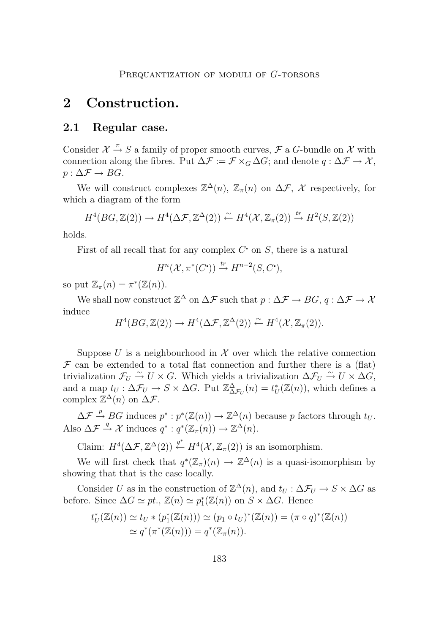### **2 Construction.**

#### **2.1 Regular case.**

Consider  $\mathcal{X} \stackrel{\pi}{\rightarrow} S$  a family of proper smooth curves,  $\mathcal{F}$  a G-bundle on  $\mathcal{X}$  with connection along the fibres. Put  $\Delta \mathcal{F} := \mathcal{F} \times_G \Delta G$ ; and denote  $q : \Delta \mathcal{F} \to \mathcal{X}$ ,  $p : \Delta \mathcal{F} \rightarrow BG.$ 

We will construct complexes  $\mathbb{Z}^{\Delta}(n)$ ,  $\mathbb{Z}_{\pi}(n)$  on  $\Delta \mathcal{F}$ , X respectively, for which a diagram of the form

$$
H^4(BG, \mathbb{Z}(2)) \to H^4(\Delta \mathcal{F}, \mathbb{Z}^{\Delta}(2)) \xleftarrow{\sim} H^4(\mathcal{X}, \mathbb{Z}_{\pi}(2)) \xrightarrow{tr} H^2(S, \mathbb{Z}(2))
$$

holds.

First of all recall that for any complex  $C$  on  $S$ , there is a natural

$$
H^n(\mathcal{X}, \pi^*(C^{\bullet})) \stackrel{tr}{\rightarrow} H^{n-2}(S, C^{\bullet}),
$$

so put  $\mathbb{Z}_{\pi}(n) = \pi^*(\mathbb{Z}(n)).$ 

We shall now construct  $\mathbb{Z}^{\Delta}$  on  $\Delta \mathcal{F}$  such that  $p : \Delta \mathcal{F} \to BG$ ,  $q : \Delta \mathcal{F} \to \mathcal{X}$ induce

$$
H^4(BG, \mathbb{Z}(2)) \to H^4(\Delta \mathcal{F}, \mathbb{Z}^{\Delta}(2)) \stackrel{\sim}{\leftarrow} H^4(\mathcal{X}, \mathbb{Z}_{\pi}(2)).
$$

Suppose U is a neighbourhood in  $X$  over which the relative connection  $\mathcal F$  can be extended to a total flat connection and further there is a (flat) trivialization  $\mathcal{F}_U \overset{\sim}{\to} U \times G$ . Which yields a trivialization  $\Delta \mathcal{F}_U \overset{\sim}{\to} U \times \Delta G$ , and a map  $t_U : \Delta \mathcal{F}_U \to S \times \Delta G$ . Put  $\mathbb{Z}^{\Delta}_{\Delta \mathcal{F}_U}(n) = t_U^*(\mathbb{Z}(n))$ , which defines a complex  $\mathbb{Z}^{\Delta}(n)$  on  $\Delta \mathcal{F}$ .

 $\Delta \mathcal{F} \stackrel{p}{\rightarrow} BG$  induces  $p^*: p^*(\mathbb{Z}(n)) \rightarrow \mathbb{Z}^{\Delta}(n)$  because p factors through  $t_U$ . Also  $\Delta \mathcal{F} \stackrel{q}{\rightarrow} \mathcal{X}$  induces  $q^* : q^* (\mathbb{Z}_{\pi}(n)) \rightarrow \mathbb{Z}^{\Delta}(n)$ .

Claim:  $H^4(\Delta \mathcal{F}, \mathbb{Z}^{\Delta}(2)) \stackrel{q^*}{\leftarrow} H^4(\mathcal{X}, \mathbb{Z}_{\pi}(2))$  is an isomorphism.

We will first check that  $q^*(\mathbb{Z}_\pi)(n) \to \mathbb{Z}^{\Delta}(n)$  is a quasi-isomorphism by showing that that is the case locally.

Consider U as in the construction of  $\mathbb{Z}^{\Delta}(n)$ , and  $t_U : \Delta \mathcal{F}_U \to S \times \Delta G$  as before. Since  $\Delta G \simeq pt.$ ,  $\mathbb{Z}(n) \simeq p_1^*(\mathbb{Z}(n))$  on  $S \times \Delta G$ . Hence

$$
t_U^*(\mathbb{Z}(n)) \simeq t_U * (p_1^*(\mathbb{Z}(n))) \simeq (p_1 \circ t_U)^*(\mathbb{Z}(n)) = (\pi \circ q)^*(\mathbb{Z}(n))
$$
  

$$
\simeq q^*(\pi^*(\mathbb{Z}(n))) = q^*(\mathbb{Z}_\pi(n)).
$$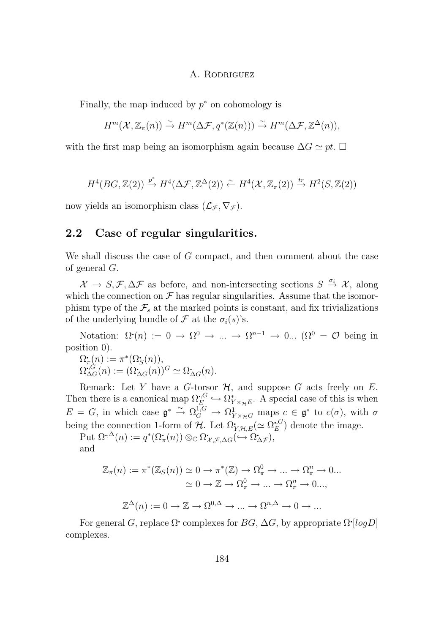#### A. RODRIGUEZ

Finally, the map induced by  $p^*$  on cohomology is

$$
H^m(\mathcal{X},\mathbb{Z}_{\pi}(n)) \stackrel{\sim}{\to} H^m(\Delta \mathcal{F},q^*(\mathbb{Z}(n))) \stackrel{\sim}{\to} H^m(\Delta \mathcal{F},\mathbb{Z}^{\Delta}(n)),
$$

with the first map being an isomorphism again because  $\Delta G \simeq pt$ .  $\Box$ 

$$
H^4(BG, \mathbb{Z}(2)) \stackrel{p^*}{\rightarrow} H^4(\Delta \mathcal{F}, \mathbb{Z}^{\Delta}(2)) \stackrel{\sim}{\leftarrow} H^4(\mathcal{X}, \mathbb{Z}_{\pi}(2)) \stackrel{\text{tr}}{\rightarrow} H^2(S, \mathbb{Z}(2))
$$

now yields an isomorphism class  $(\mathcal{L}_{\mathcal{F}}, \nabla_{\mathcal{F}}).$ 

#### **2.2 Case of regular singularities.**

We shall discuss the case of  $G$  compact, and then comment about the case of general G.

 $\mathcal{X} \to S, \mathcal{F}, \Delta \mathcal{F}$  as before, and non-intersecting sections  $S \stackrel{\sigma_i}{\to} \mathcal{X}$ , along which the connection on  $\mathcal F$  has regular singularities. Assume that the isomorphism type of the  $\mathcal{F}_s$  at the marked points is constant, and fix trivializations of the underlying bundle of  $\mathcal F$  at the  $\sigma_i(s)$ 's.

Notation:  $\Omega(n) := 0 \to \Omega^0 \to \dots \to \Omega^{n-1} \to 0 \dots (\Omega^0 = \mathcal{O}$  being in position 0).

 $\Omega_{\tau}^{\cdot}$  $\pi(n) := \pi^*(\Omega_S(n)),$  $\Omega_{\Delta G}^{*,G}(n) := (\Omega_{\Delta G}^{*,G}(n))^G \simeq \Omega_{\Delta G}(n).$ 

Remark: Let Y have a G-torsor  $H$ , and suppose G acts freely on E. Then there is a canonical map  $\Omega_E^{\bullet, G}$  $\Gamma_E^G \hookrightarrow \Omega^*_{Y \times_{\mathcal{H}} E}$ . A special case of this is when  $E = G$ , in which case  $\mathfrak{g}^* \stackrel{\sim}{\to} \Omega_G^{1,G} \to \Omega_{Y \times_{\mathcal{H}} G}^{1}$  maps  $c \in \mathfrak{g}^*$  to  $c(\sigma)$ , with  $\sigma$ being the connection 1-form of  $\mathcal{H}$ . Let  $\Omega_{\mathbf{Y},\mathcal{H},E}^{\bullet}(\simeq \Omega_{E}^{\bullet, G})$  $E_E^{(G)}$  denote the image.

Put  $\Omega \cdot^{\Delta}(n) := q^*(\Omega_\pi(n)) \otimes_{\mathbb{C}} \Omega^\bullet_{\mathcal{X},\mathcal{F},\Delta G}(\hookrightarrow \Omega_{\Delta \mathcal{F}}),$ and

$$
\mathbb{Z}_{\pi}(n) := \pi^*(\mathbb{Z}_S(n)) \simeq 0 \to \pi^*(\mathbb{Z}) \to \Omega_{\pi}^0 \to \dots \to \Omega_{\pi}^n \to 0 \dots
$$

$$
\simeq 0 \to \mathbb{Z} \to \Omega_{\pi}^0 \to \dots \to \Omega_{\pi}^n \to 0 \dots,
$$

$$
\mathbb{Z}^{\Delta}(n) := 0 \to \mathbb{Z} \to \Omega^{0,\Delta} \to \dots \to \Omega^{n,\Delta} \to 0 \to \dots
$$

For general G, replace  $\Omega$  complexes for  $BG$ ,  $\Delta G$ , by appropriate  $\Omega$  [logD] complexes.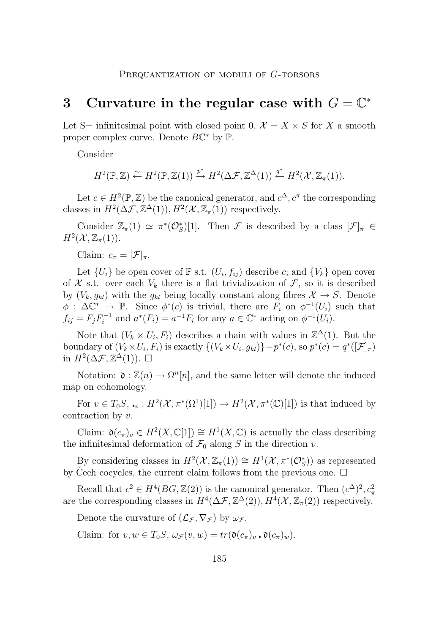## **3** Curvature in the regular case with  $G = \mathbb{C}^*$

Let S= infinitesimal point with closed point 0,  $\mathcal{X} = X \times S$  for X a smooth proper complex curve. Denote  $B\mathbb{C}^*$  by  $\mathbb{P}$ .

Consider

$$
H^2(\mathbb{P}, \mathbb{Z}) \xrightarrow{\sim} H^2(\mathbb{P}, \mathbb{Z}(1)) \xrightarrow{p^*} H^2(\Delta \mathcal{F}, \mathbb{Z}^{\Delta}(1)) \xleftarrow{q^*} H^2(\mathcal{X}, \mathbb{Z}_{\pi}(1)).
$$

Let  $c \in H^2(\mathbb{P}, \mathbb{Z})$  be the canonical generator, and  $c^{\Delta}, c^{\pi}$  the corresponding classes in  $H^2(\Delta \mathcal{F}, \mathbb{Z}^{\Delta}(1)), H^2(\mathcal{X}, \mathbb{Z}_{\pi}(1))$  respectively.

Consider  $\mathbb{Z}_{\pi}(1) \simeq \pi^*(\mathcal{O}_{S}^*)[1]$ . Then F is described by a class  $[\mathcal{F}]_{\pi} \in$  $H^2(\mathcal{X}, \mathbb{Z}_{\pi}(1)).$ 

Claim:  $c_{\pi} = [\mathcal{F}]_{\pi}$ .

Let  $\{U_i\}$  be open cover of  $\mathbb P$  s.t.  $(U_i, f_{ij})$  describe c; and  $\{V_k\}$  open cover of X s.t. over each  $V_k$  there is a flat trivialization of  $\mathcal F$ , so it is described by  $(V_k, g_{kl})$  with the  $g_{kl}$  being locally constant along fibres  $\mathcal{X} \to S$ . Denote  $\phi : \Delta \mathbb{C}^* \to \mathbb{P}$ . Since  $\phi^*(c)$  is trivial, there are  $F_i$  on  $\phi^{-1}(U_i)$  such that  $f_{ij} = F_j F_i^{-1}$  and  $a^*(F_i) = a^{-1} F_i$  for any  $a \in \mathbb{C}^*$  acting on  $\phi^{-1}(U_i)$ .

Note that  $(V_k \times U_i, F_i)$  describes a chain with values in  $\mathbb{Z}^{\Delta}(1)$ . But the boundary of  $(V_k \times U_i, F_i)$  is exactly  $\{(V_k \times U_i, g_{kl})\} - p^*(c)$ , so  $p^*(c) = q^*([\mathcal{F}]_\pi)$ in  $H^2(\Delta \mathcal{F}, \mathbb{Z}^{\Delta}(1))$ .  $\Box$ 

Notation:  $\mathfrak{d}: \mathbb{Z}(n) \to \Omega^n[n]$ , and the same letter will denote the induced map on cohomology.

For  $v \in T_0S$ ,  $\bullet_v : H^2(\mathcal{X}, \pi^*(\Omega^1)[1]) \to H^2(\mathcal{X}, \pi^*(\mathbb{C})[1])$  is that induced by contraction by  $v$ .

Claim:  $\mathfrak{d}(c_{\pi})_v \in H^2(X,\mathbb{C}[1]) \cong H^1(X,\mathbb{C})$  is actually the class describing the infinitesimal deformation of  $\mathcal{F}_0$  along S in the direction v.

By considering classes in  $H^2(\mathcal{X}, \mathbb{Z}_{\pi}(1)) \cong H^1(\mathcal{X}, \pi^*(\mathcal{O}_S^*))$  as represented by Čech cocycles, the current claim follows from the previous one.  $\Box$ 

Recall that  $c^2 \in H^4(BG, \mathbb{Z}(2))$  is the canonical generator. Then  $(c^{\Delta})^2, c^2_{\pi}$ are the corresponding classes in  $H^4(\Delta \mathcal{F}, \mathbb{Z}^{\Delta}(2)), H^4(\mathcal{X}, \mathbb{Z}_{\pi}(2))$  respectively.

Denote the curvature of  $(\mathcal{L}_{\mathcal{F}}, \nabla_{\mathcal{F}})$  by  $\omega_{\mathcal{F}}$ .

Claim: for  $v, w \in T_0S$ ,  $\omega_{\mathcal{F}}(v, w) = tr(\mathfrak{d}(c_{\pi})_v \cdot \mathfrak{d}(c_{\pi})_w)$ .